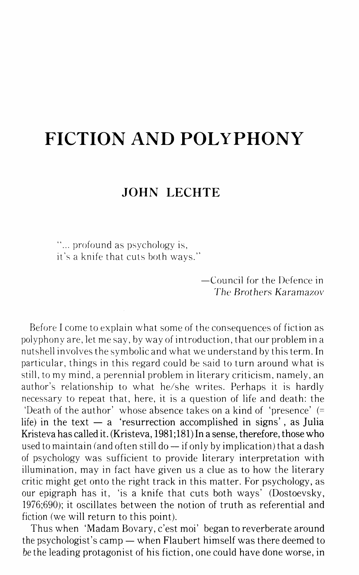## **FICTION AND POLYPHONY**

## **JOHN LECHTE**

"... profound as psychology is, it's a knife that cuts both ways."

> -Council for the Defence in The Brothers Karamazov

Before I come to explain what some of the consequences of fiction as polyphony are, let me say, by way of introduction, that our problem in a nutshell involves the symbolic and what we understand by this term. In particular, things in this regard could be said to turn around what is still, to my mind, a perennial problem in literary criticism, namely, an author's relationship to what he/she writes. Perhaps it is hardly necessary to repeat that, here, it is a question of life and death: the 'Death of the author' whose absence takes on a kind of 'presence' (= life) in the text  $-$  a 'resurrection accomplished in signs', as Julia Kristeva has called it. (Kristeva, 1981;181) In a sense, therefore, those who used to maintain (and often still  $do - if$  only by implication) that a dash of psychology was sufficient to provide literary interpretation with illumination, may in fact have given us a clue as to how the literary critic might get onto the right track in this matter. For psychology, as our epigraph has it, 'is a knife that cuts both ways' (Dostoevsky, 1976;690); it oscillates between the notion of truth as referential and fiction (we will return to this point).

Thus when 'Madam Bovary, c'est moi' began to reverberate around the psychologist's camp- when Flaubert himself was there deemed to be the leading protagonist of his fiction, one could have done worse, in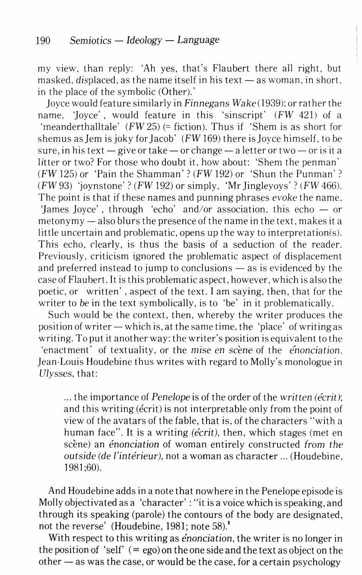my view, than reply: 'Ah yes, that's Flaubert there all right, but masked, displaced, as the name itself in his text  $-$  as woman, in short, in the place of the symbolic (Other).'

joyce would feature similarly in *Finnegans Wake* (1939): or rather the name, 'Joyce', would feature in this 'sinscript' (FW 421) of a 'rneanderthalltale' *(FW* 25) (=fiction). Thus if 'Shem is as short for shemus as Jem is joky for Jacob' *(FW 169)* there is Joyce himself, to be sure, in his text  $-$  give or take  $-$  or change  $-$  a letter or two  $-$  or is it a litter or two? For those who doubt it, how about: 'Shem the penman' *(FW* 125) or 'Pain the Shamman'? (FW 192) or 'Shun the Punman'? (FW 93) 'joynstone'? *(FW* 192) or simply, 'Mr jingleyoys'? (FW 466). The point is that if these names and punning phrases evoke the name. 'James Joyce', through 'echo' and/or association, this echo  $-$  or metonymy — also blurs the presence of the name in the text, makes it a little uncertain and problematic, opens up the way to interpretation(s). This echo, clearly, is thus the basis of a seduction of the reader. Previously, criticism ignored the problematic aspect of displacement and preferred instead to jump to conclusions  $-$  as is evidenced by the case of Flaubert. It is this problematic aspect, however, which is also the poetic, or written' , aspect of the text. I am saying, then, that for the writer to be in the text symbolically, is to 'be' in it problematically.

Such would be the context, then, whereby the writer produces the position of writer  $-\omega$  which is, at the same time, the 'place' of writing as writing. To put it another way: the writer's position is equivalent to the 'enactment' of textuality, or the mise en scene of the *enonciation*. Jean-Louis Houdebine thus writes with regard to Molly's monologue in Ulysses, that:

... the importance of *Penelope* is of the order of the *written (ecrit);*  and this writing (ecrit) is not interpretable only from the point of view of the avatars of the fable, that is, of the characters "with a human face". It is a writing *(écrit)*, then, which stages (met en scene) an *enonciation* of woman entirely constructed *from the outside (de I'interieur),* not a woman as character ... (Houdebine, 1981 ;60).

And Houdebine adds in a note that nowhere in the Penelope episode is Molly objectivated as a 'character' : "it is a voice which is speaking, and through its speaking (parole) the contours of the body are designated, not the reverse' (Houdebine, 1981; note 58).'

With respect to this writing as *enonciation,* the writer is no longer in the position of 'self'  $( = \text{ego})$  on the one side and the text as object on the  $other - as was the case, or would be the case, for a certain psychology$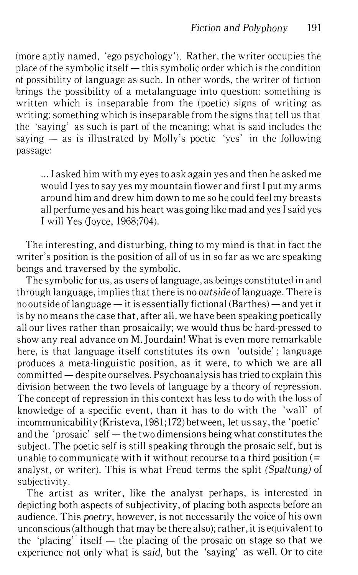(more aptly named, 'ego psychology'). Rather, the writer occupies the place of the symbolic itself  $-$  this symbolic order which is the condition of possibility of language as such. In other words, the writer of fiction brings the possibility of a metalanguage into question: something is written which is inseparable from the (poetic) signs of writing as writing; something which is inseparable from the signs that tell us that the 'saying' as such is part of the meaning; what is said includes the saying  $-$  as is illustrated by Molly's poetic 'yes' in the following passage:

... I asked him with my eyes to ask again yes and then he asked me would I yes to say yes my mountain flower and first I put my arms around him and drew him down to me so he could feel my breasts all perfume yes and his heart was going like mad and yes I said yes I will Yes (Joyce, 1968;704).

The interesting, and disturbing, thing to my mind is that in fact the writer's position is the position of all of us in so far as we are speaking beings and traversed by the symbolic.

The symbolic for us, as users of language, as beings constituted in and through language, implies that there is no outside of language. There is no outside of language - it is essentially fictional (Barthes) - and yet it is by no means the case that, after all, we have been speaking poetically all our lives rather than prosaically; we would thus be hard-pressed to show any real advance on M. Jourdain! What is even more remarkable here, is that language itself constitutes its own 'outside'; language produces a meta-linguistic position, as it were, to which we are all committed - despite ourselves. Psychoanalysis has tried to explain this division between the two levels of language by a theory of repression. The concept of repression in this context has less to do with the loss of knowledge of a specific event, than it has to do with the 'wall' of incommunicability (Kristeva, 1981;172) between, let us say, the 'poetic' and the 'prosaic' self  $-$  the two dimensions being what constitutes the subject. The poetic self is still speaking through the prosaic self, but is unable to communicate with it without recourse to a third position  $(=$ analyst, or writer). This is what Freud terms the split *(Spaltung)* of subjectivity.

The artist as writer, like the analyst perhaps, is interested in depicting both aspects of subjectivity, of placing both aspects before an audience. This *poetry,* however, is not necessarily the voice of his own unconscious (although that may be there also); rather, it is equivalent to the 'placing' itself  $-$  the placing of the prosaic on stage so that we experience not only what is *said,* but the 'saying' as well. Or to cite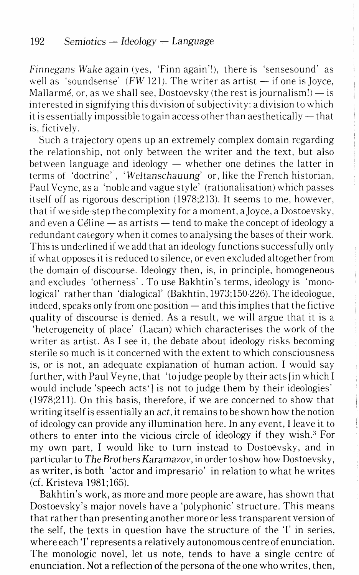Finnegans *Wake* again (yes, 'Finn again'!), there is 'sensesound' as well as 'soundsense' ( $FW121$ ). The writer as artist  $-$  if one is Joyce, Mallarmé, or, as we shall see, Dostoevsky (the rest is journalism!)  $-$  is interested in signifying this division of subjectivity: a division to which it is essentially impossible to gain access other than aesthetically  $-$  that is, fictively.

Such a trajectory opens up an extremely complex domain regarding the relationship, not only between the writer and the text, but also between language and ideology  $-$  whether one defines the latter in terms of 'doctrine', *'Weltanschauung'* or, like the French historian, Paul Veyne, as a 'noble and vague style' (rationalisation) which passes itself off as rigorous description (1978;213). It seems to me, however, that if we side-step the complexity for a moment, a joyce, a Dostoevsky, and even a Céline  $-$  as artists  $-$  tend to make the concept of ideology a redundant calegory when it comes to analysing the bases of their work. This is underlined if we add that an ideology functions successfully only if what opposes it is reduced to silence, or even excluded altogether from the domain of discourse. Ideology then, is, in principle, homogeneous and excludes 'otherness' . To use Bakhtin's terms, ideology is 'monological' rather than 'dialogical' (Bakhtin, 1973;150-226). The ideologue,  $i$ ndeed, speaks only from one position  $-$  and this implies that the fictive yuality of discourse is denied. As a result, we will argue that it is a 'heterogeneity of place' (Lacan) which characterises the work of the writer as artist. As I see it, the debate about ideology risks becoming sterile so much is it concerned with the extent to which consciousness is, or is not, an adequate explanation of human action. I would say further, with Paul Veyne, that 'to judge people by their acts [in which I would include 'speech acts' is not to judge them by their ideologies' (1978;211). On this basis, therefore, if we are concerned to show that writing itself is essentially an *act,* it remains to be shown how the notion of ideology can provide any illumination here. In any event, I leave it to others to enter into the vicious circle of ideology if they wish.<sup>3</sup> For my own part, I would like to turn instead to Dostoevsky, and in particular to *The Brothers Karamazov,* in order to show how Dostoevsky, as writer, is both 'actor and impresario' in relation to what he writes (cf. Kristeva 1981;165).

Bakhtin's work, as more and more people are aware, has shown that Dostoevsky's major novels have a 'polyphonic' structure. This means that rather than presenting another more or less transparent version of the self, the texts in question have the structure of the T in series, where each 'I' represents a relatively autonomous centre of enunciation. The monologic novel, let us note, tends to have a single centre of enunciation. Not a reflection of the persona of the one who writes, then,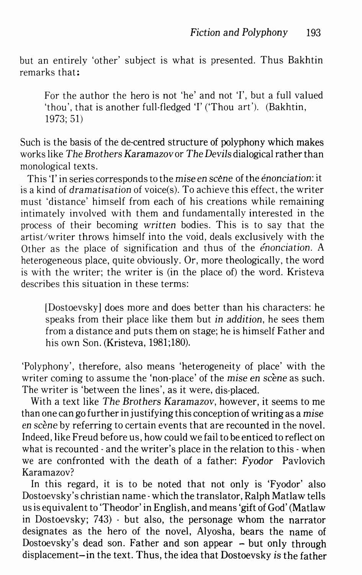but an entirely 'other' subject is what is presented. Thus Bakhtin remarks that:

For the author the hero is not 'he' and not 'I', but a full valued 'thou', that is another full-fledged 'I' ('Thou art'). (Bakhtin, 1973; 51)

Such is the basis of the de-centred structure of polyphony which makes works like *The Brothers Karamazov* or *The Devils* dialogical rather than monological texts.

This 'I' in series corresponds to the *mise* en scene of the *énonciation*: it is a kind of *dramatisation* of voice(s). To achieve this effect, the writer must 'distance' himself from each of his creations while remaining intimately involved with them and fundamentally interested in the process of their becoming *written* bodies. This is to say that the artist/writer throws himself into the void, deals exclusively with the Other as the place of signification and thus of the *enonciation.* A heterogeneous place, quite obviously. Or, more theologically, the word is with the writer; the writer is (in the place of) the word. Kristeva describes this situation in these terms:

[Dostoevsky] does more and does better than his characters: he speaks from their place like them but in *addition,* he sees them from a distance and puts them on stage; he is himself Father and his own Son. (Kristeva, 1981;180).

'Polyphony', therefore, also means 'heterogeneity of place' with the writer coming to assume the 'non-place' of the *mise* en scene as such. The writer is 'between the lines', as it were, dis-placed.

With a text like *The Brothers Karamazov,* however, it seems to me than one can go further in justifying this conception of writing as a *mise*  en scène by referring to certain events that are recounted in the novel. Indeed, like Freud before us, how could we fail to be enticed to reflect on what is recounted- and the writer's place in the relation to this- when we are confronted with the death of a father: *Fyodor* Pavlovich Karamazov?

In this regard, it is to be noted that not only is 'Fyodor' also Dostoevsky's christian name· which the translator, Ralph Matlaw tells us is equivalent to 'Theodor' in English, and means 'gift of God' (Matlaw in Dostoevsky; 743) - but also, the personage whom the narrator designates as the hero of the novel, Alyosha, bears the name of Dostoevsky's dead son. Father and son appear  $-$  but only through displacement-in the text. Thus, the idea that Dostoevsky *is* the father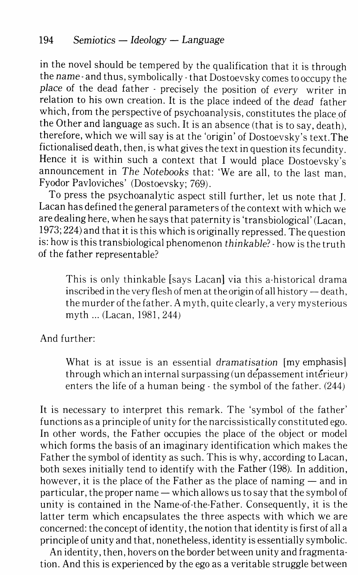in the novel should be tempered by the qualification that it is through the *name-* and thus, symbolically- that Dostoevsky comes to occupy the *place* of the dead father - precisely the position of every writer in relation to his own creation. It is the place indeed of the *dead* father which, from the perspective of psychoanalysis, constitutes the place of the Other and language as such. It is an absence (that is to say, death), therefore, which we will say is at the 'origin' of Dostoevsky's text. The fictionalised death, then, is what gives the text in question its fecundity\_ Hence it is within such a context that I would place Dostoevsky's announcement in *The Notebooks* that: 'We are all, to the last man, Fyodor Pavloviches' (Dostoevsky; 769).

To press the psychoanalytic aspect still further, let us note that J. Lacan has defined the general parameters of the context with which we are dealing here, when he says that paternity is 'trans biological' (Lacan, 1973; 224) and that it is this which is originally repressed. The question is: how is this trans biological phenomenon *thinkable?-* how is the truth of the father representable?

This is only thinkable [says Lacan] via this a-historical drama inscribed in the very flesh of men at the origin of all history  $-$  death, the murder of the father. A myth, quite clearly, a very mysterious myth ... (Lacan, 1981, 244)

And further:

What is at issue is an essential *dramatisation* [my emphasis] through which an internal surpassing (un depassement interieur) enters the life of a human being- the symbol of the father. (244)

It is necessary to interpret this remark. The 'symbol of the father' functions as a principle of unity for the narcissistically constituted ego. In other words, the Father occupies the place of the object or model which forms the basis of an imaginary identification which makes the Father the symbol of identity as such. This is why, according to Lacan, both sexes initially tend to identify with the Father (198). In addition, however, it is the place of the Father as the place of naming  $-$  and in particular, the proper name  $-$  which allows us to say that the symbol of unity is contained in the Name-of-the-Father. Consequently, it is the latter term which encapsulates the three aspects with which we are concerned: the concept of identity, the notion that identity is first of all a principle of unity and that, nonetheless, identity is essentially symbolic.

An identity, then, hovers on the border between unity and fragmentation. And this is experienced by the ego as a veritable struggle between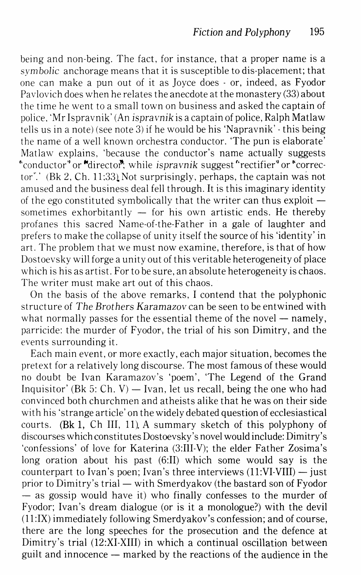being and non-being. The fact, for instance, that a proper name is a *symbolic* anchorage means that it is susceptible to dis-placement; that one can make a pun out of it as Joyce does - or, indeed, as Fyodor Pavlovich does when he relates the anecdote at the monastery (33) about the time he went to a small town on business and asked the captain of police, 'Mr Ispravnik' (An ispravnik is a captain of police, Ralph Matlaw tells us in a note) (see note 3) if he would be his 'Napravnik'- this being the name of a well known orchestra conductor. 'The pun is elaborate' Matlaw explains, 'because the conductor's name actually suggests "conductor" or "director", while *ispravnik* suggest "rectifier" or "corrector".' (Bk 2, Ch. 11;33). Not surprisingly, perhaps, the captain was not amused and the business deal fell through. It is this imaginary identity of the ego constituted symbolically that the writer can thus exploit  $$ sometimes exhorbitantly  $-$  for his own artistic ends. He thereby profanes this sacred Name-of-the-Father in a gale of laughter and prefers to make the collapse of unity itself the source of his 'identity' in art. The problem that we must now examine, therefore, is that of how Dostoevsky will forge a unity out of this veritable heterogeneity of place which is his as artist. For to be sure, an absolute heterogeneity is chaos. The writer must make art out of this chaos.

On the basis of the above remarks, I contend that the polyphonic structure of *The Brothers Karamazov* can be seen to be entwined with what normally passes for the essential theme of the novel  $-$  namely, parricide: the murder of  $Fyodor_\tau$ , the trial of his son Dimitry, and the events surrounding it.

Each main event, or more exactly, each major situation, becomes the pretext for a relatively long discourse. The most famous of these would no doubt be Ivan Karamazov's 'poem', 'The Legend of the Grand Inquisitor' (Bk 5: Ch. V) — Ivan, let us recall, being the one who had convinced both churchmen and atheists alike that he was on their side with his 'strange article' on the widely debated question of ecclesiastical courts. (Bk 1, Ch III, 11) A summary sketch of this polyphony of discourses which constitutes Dostoevsky's novel would include: Dimitry's 'confessions' of love for Katerina (3:III-V); the elder Father Zosima's long oration about his past (6:II) which some would say is the counterpart to Ivan's poen; Ivan's three interviews  $(11:VI-VIII)$  - just prior to Dimitry's trial — with Smerdyakov (the bastard son of Fyodor  $-$  as gossip would have it) who finally confesses to the murder of Fyodor; Ivan's dream dialogue (or is it a monologue?) with the devil (ll:IX) immediately following Smerdyakov's confession; and of course, there are the long speeches for the prosecution and the defence at Dimitry's trial (12:XI-XIII) in which a continual oscillation between guilt and innocence  $-$  marked by the reactions of the audience in the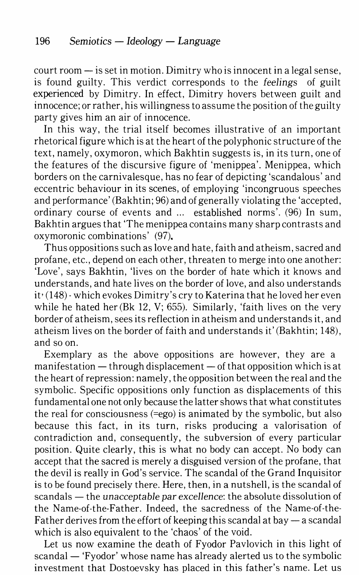$court room - is set in motion. Dimitry who is innocent in a legal sense,$ is found guilty. This verdict corresponds to the *feelings* of guilt experienced by Dimitry. In effect, Dimitry hovers between guilt and innocence; or rather, his willingness to assume the position of the guilty party gives him an air of innocence.

In this way, the trial itself becomes illustrative of an important rhetorical figure which is at the heart of the polyphonic structure of the text, namely, oxymoron, which Bakhtin suggests is, in its turn, one of the features of the discursive figure of 'menippea'. Menippea, which borders on the carnivalesque, has no fear of depicting 'scandalous' and eccentric behaviour in its scenes, of employing 'incongruous speeches and performance' (Bakhtin; 96) and of generally violating the 'accepted, ordinary course of events and ... established norms'. (96) In sum, Bakhtin argues that 'The menippea contains many sharp contrasts and oxymoronic combinations' (97).

Thus oppositions such as love and hate, faith and atheism, sacred and profane, etc., depend on each other, threaten to merge into one another: 'Love', says Bakhtin, 'lives on the border of hate which it knows and understands, and hate lives on the border of love, and also understands it• (148) ·which evokes Dimitry's cry to Katerina that he loved her even while he hated her (Bk 12, V; 655). Similarly, 'faith lives on the very border of atheism, sees its reflection in atheism and understands it, and atheism lives on the border of faith and understands it' (Bakhtin; 148), and so on.

Exemplary as the above oppositions are however, they are a manifestation  $-$  through displacement  $-$  of that opposition which is at the heart of repression: namely, the opposition between the real and the symbolic. Specific oppositions only function as displacements of this fundamental one not only because the latter shows that what constitutes the real for consciousness (=ego) is animated by the symbolic, but also because this fact, in its turn, risks producing a valorisation of contradiction and, consequently, the subversion of every particular position. Quite clearly, this is what no body can accept. No body can accept that the sacred is merely a disguised version of the profane, that the devil is really in God's service. The scandal of the Grand Inquisitor is to be found precisely there. Here, then, in a nutshell, is the scandal of scandals- the *unacceptable par* excellence: the absolute dissolution of the Name-of-the-Father. Indeed, the sacredness of the Name-of-the-Father derives from the effort of keeping this scandal at bay  $-$  a scandal which is also equivalent to the 'chaos' of the void.

Let us now examine the death of Fyodor Pavlovich in this light of scandal — 'Fyodor' whose name has already alerted us to the symbolic investment that Dostoevsky has placed in this father's name. Let us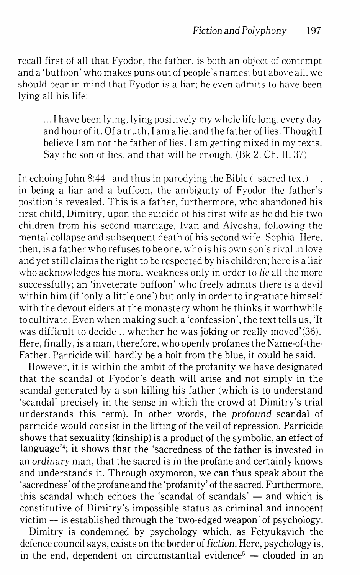recall first of all that Fyodor, the father, is both an object of contempt and a 'buffoon' who makes puns out of people's names; but above all, we should bear in mind that Fyodor is a liar; he even admits to have been lying all his life:

... I have been lying, lying positively my whole life long, every day and hour of it. Of a truth, I am a lie, and the father of lies. Though I believe I am not the father of lies. I am getting mixed in my texts. Say the son of lies, and that will be enough. (Bk 2, Ch. II, 37)

In echoing John 8:44 - and thus in parodying the Bible (=sacred text)  $-$ , in being a liar and a buffoon, the ambiguity of Fyodor the father's position is revealed. This is a father, furthermore, who abandoned his first child, Dimitry, upon the suicide of his first wife as he did his two children from his second marriage, Ivan and Alyosha, following the mental collapse and subsequent death of his second wife. Sophia. Here, then, is a father who refuses to be one, who is his own son's rival in love and yet still claims the right to be respected by his children; here is a liar who acknowledges his moral weakness only in order to lie all the more successfully; an 'inveterate buffoon' who freely admits there is a devil within him (if 'only a little one') but only in order to ingratiate himself with the devout elders at the monastery whom he thinks it worthwhile to cultivate. Even when making such a 'confession', the text tells us, 'It was difficult to decide .. whether he was joking or really moved'(36). Here, finally, is a man, therefore, who openly profanes the Name-of-the-Father. Parricide will hardly be a bolt from the blue, it could be said.

However, it is within the ambit of the profanity we have designated that the scandal of Fyodor's death will arise and not simply in the scandal generated by a son killing his father (which is to understand 'scandal' precisely in the sense in which the crowd at Dimitry's trial understands this term). In other words, the profound scandal of parricide would consist in the lifting of the veil of repression. Parricide shows that sexuality (kinship) is a product of the symbolic, an effect of language'<sup>4</sup>; it shows that the 'sacredness of the father is invested in an ordinary man, that the sacred is in the profane and certainly knows and understands it. Through oxymoron, we can thus speak about the 'sacredness' of the profane and the 'profanity' of the sacred. Furthermore, this scandal which echoes the 'scandal of scandals'  $-$  and which is constitutive of Dimitry's impossible status as criminal and innocent victim  $-$  is established through the 'two-edged weapon' of psychology.

Dimitry is condemned by psychology which, as Fetyukavich the defence council says, exists on the border of fiction. Here, psychology is, in the end, dependent on circumstantial evidence<sup>5</sup>  $-$  clouded in an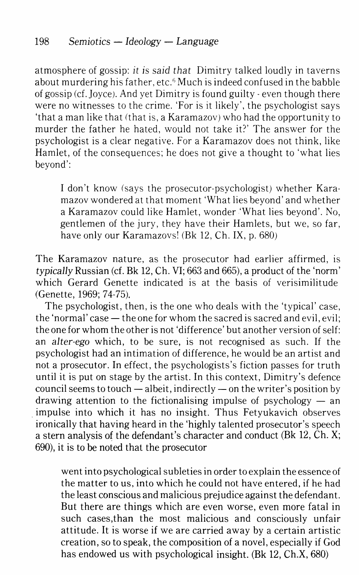atmosphere of gossip: *it* is *said that* Dimitry talked loudly in taverns about murdering his father, etc.<sup>6</sup> Much is indeed confused in the babble of gossip (cf. *Joyce).* And yet Dimitry is found guilty- even though there were no witnesses to the crime. 'For is it likely', the psychologist says 'that a man like that (that is, a Karamazov) who had the opportunity to murder the father he hated, would not take it?' The answer for the psychologist is a clear negative. For a Karamazov does not think, like Hamlet, of the consequences; he does not give a thought to 'what lies beyond':

I don't know (says the prosecutor-psychologist) whether Karamazov wondered at that moment 'What lies beyond' and whether a Karamazov could like Hamlet, wonder 'What lies beyond'. No, gentlemen of the jury, they have their Hamlets, but we, so far, have only our Karamazovs' (Bk 12, Ch. IX, p. 680)

The Karamazov nature, as the prosecutor had earlier affirmed, is *typically Russian (cf. Bk 12, Ch. VI; 663 and 665), a product of the 'norm'* which Gerard Genette indicated is at the basis of verisimilitude (Genette, 1969; 74-75).

The psychologist, then, is the one who deals with the 'typical' case, the 'normal' case  $-$  the one for whom the sacred is sacred and evil, evil; the one for whom the other is not 'difference' but another version of self: an *alter-ego* which, to be sure, is not recognised as such. If the psychologist had an intimation of difference, he would be an artist and not a prosecutor. In effect, the psychologists's fiction passes for truth until it is put on stage by the artist. In this context, Dimitry's defence council seems to touch  $-$  albeit, indirectly  $-$  on the writer's position by drawing attention to the fictionalising impulse of psychology  $-$  an impulse into which it has no insight. Thus Fetyukavich observes ironically that having heard in the 'highly talented prosecutor's speech a stern analysis of the defendant's character and conduct (Bk 12, Ch. X; 690), it is to be noted that the prosecutor

went into psychological subleties in order to explain the essence of the matter to us, into which he could not have entered, if he had the least conscious and malicious prejudice against the defendant. But there are things which are even worse, even more fatal in such cases,than the most malicious and consciously unfair attitude. It is worse if we are carried away by a certain artistic creation, so to speak, the composition of a novel, especially if God has endowed us with psychological insight. (Bk 12, Ch.X, 680)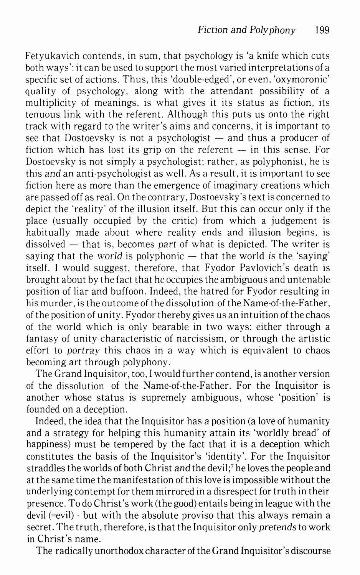Fetyukavich contends, in sum, that psychology is 'a knife which cuts both ways': it can be used to support the most varied interpretations of a specific set of actions. Thus, this 'double-edged', or even, 'oxymoronic' quality of psychology, along with the attendant possibility of a multiplicity of meanings, is what gives it its status as fiction, its tenuous link with the referent. Although this puts us onto the right track with regard to the writer's aims and concerns, it is important to see that Dostoevsky is not a psychologist  $-$  and thus a producer of fiction which has lost its grip on the referent  $-$  in this sense. For Dostoevsky is not simply a psychologist; rather, as polyphonist, he is this *and* an anti-psychologist as well. As a result, it is important to see fiction here as more than the emergence of imaginary creations which are passed off as real. On the contrary, Dostoevsky's text is concerned to depict the 'reality' of the illusion itself. But this can occur only if the place (usually occupied by the critic) from which a judgement is habitually made about where reality ends and illusion begins, is dissolved — that is, becomes *part* of what is depicted. The writer is saying that the *world* is polyphonic — that the world is the 'saying' itself. I would suggest, therefore, that Fyodor Pavlovich's death is brought about by the fact that he occupies the ambiguous and untenable position of liar and buffoon. Indeed, the hatred for Fyodor resulting in his murder, is the outcome of the dissolution of the Name-of-the-Father, of the position of unity. Fyodor thereby gives us an intuition of the chaos of the world which is only bearable in two ways: either through a fantasy of unity characteristic of narcissism, or through the artistic effort to *portray* this chaos in a way which is equivalent to chaos becoming art through polyphony.

The Grand Inquisitor, too, I would further contend, is another version of the dissolution of the Name-of-the-Father. For the Inquisitor is another whose status is supremely ambiguous, whose 'position' is founded on a deception.

Indeed, the idea that the Inquisitor has *a* position (a love of humanity and a strategy for helping this humanity attain its 'worldly bread' of happiness) must be tempered by the fact that it is a deception which constitutes the basis of the Inquisitor's 'identity'. For the Inquisitor straddles the worlds of both Christ *and* the devil;7 he loves the people and at the same time the manifestation of this love is impossible without the underlying contempt for them mirrored in a disrespect for truth in their presence. To do Christ's work (the good) entails being in league with the devil (=evil) - but with the absolute proviso that this always remain a secret. The truth, therefore, is that the Inquisitor only *pretends* to work in Christ's name.

The radically unorthodox character of the Grand Inquisitor's discourse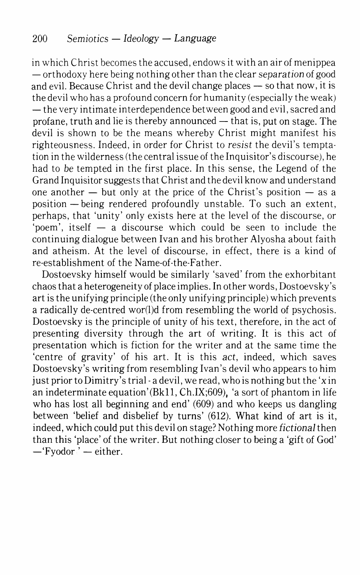in which Christ becomes the accused, endows it with an air of menippea  $-$  orthodoxy here being nothing other than the clear separation of good and evil. Because Christ and the devil change places  $-$  so that now, it is the devil who has a profound concern for humanity (especially the weak)  $-$  the very intimate interdependence between good and evil, sacred and profane, truth and lie is thereby announced  $-$  that is, put on stage. The devil is shown to be the means whereby Christ might manifest his righteousness. Indeed, in order for Christ to resist the devil's temptation in the wilderness (the central issue of the Inquisitor's discourse), he had to *be* tempted in the first place. In this sense, the Legend of the Grand Inquisitor suggests that Christ and the devil know and understand one another  $-$  but only at the price of the Christ's position  $-$  as a position -being rendered profoundly unstable. To such an extent, perhaps, that 'unity' only exists here at the level of the discourse, or 'poem', itself  $-$  a discourse which could be seen to include the continuing dialogue between Ivan and his brother Alyosha about faith and atheism. At the level of discourse, in effect, there is a kind of re-establishment of the Name-of-the-Father.

Dostoevsky himself would be similarly 'saved' from the exhorbitant chaos that a heterogeneity of place implies. In other words, Dostoevsky's art is the unifying principle (the only unifying principle) which prevents a radically de-centred wor(l)d from resembling the world of psychosis. Dostoevsky is the principle of unity of his text, therefore, in the act of presenting diversity through the art of writing. It is this act of presentation which is fiction for the writer and at the same time the 'centre of gravity' of his art. It is this *act,* indeed, which saves Dostoevsky's writing from resembling Ivan's devil who appears to him just prior to Dimitry's trial-a devil, we read, who is nothing but the 'xin an indeterminate equation'(Bkll, Ch.IX;609), 'a sort of phantom in life who has lost all beginning and end' (609) and who keeps us dangling between 'belief and disbelief by turns' (612). What kind of art is it, indeed, which could put this devil on stage? Nothing more *fictional* then than this 'place' of the writer. But nothing closer to being a 'gift of God' -'Fyodor' - either.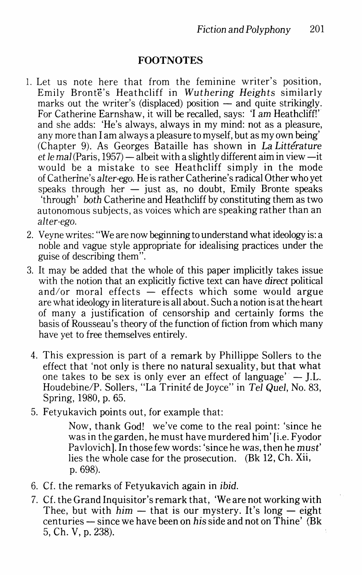## **FOOTNOTES**

- 1. Let us note here that from the feminine writer's position, Emily Bronte's Heathcliff in *Wuthering Heights* similarly marks out the writer's (displaced) position  $-$  and quite strikingly. For Catherine Earnshaw, it will be recalled, says: 'I am Heathcliff!' and she adds: 'He's always, always in my mind: not as a pleasure, any more than I am always a pleasure to myself, but as my own being' (Chapter 9). As Georges Bataille has shown in La *Litterature et le mal* (Paris, 1957) — albeit with a slightly different aim in view —it would be a mistake to see Heathcliff simply in the mode of Catherine's *alter-ego.* He is rather Catherine's radical Other who yet speaks through her  $-$  just as, no doubt, Emily Bronte speaks 'through' *both* Catherine and Heathcliff by constituting them as two autonomous subjects, as voices which are speaking rather than an *alter-ego.*
- 2. Veyne writes: "We are now beginning to understand what ideology is: a noble and vague style appropriate for idealising practices under the guise of describing them".
- 3. It may be added that the whole of this paper implicitly takes issue with the notion that an explicitly fictive text can have *direct* political and/or moral effects  $\frac{1}{x}$  effects which some would argue are what ideology in literature is all about. Such a notion is at the heart of many a justification of censorship and certainly forms the basis of Rousseau's theory of the function of fiction from which many have yet to free themselves entirely.
- 4. This expression is part of a remark by Phillippe Sollers to the effect that 'not only is there no natural sexuality, but that what one takes to be sex is only ever an effect of language'  $-$  J.L. Houdebine/P. Sollers, "La Trinite de Joyce" in *Tel Quel,* No. 83, Spring, 1980, p. 65.
- 5. Fetyukavich points out, for example that:

Now, thank God! we've come to the real point: 'since he was in the garden, he must have murdered him' [i.e. Fyodor Pavlovich]. In those few words: 'since he was, then he *must'*  lies the whole case for the prosecution. (Bk 12, Ch. Xii, p. 698).

- 6. Cf. the remarks of Fetyukavich again in *ibid.*
- 7. Cf. the Grand Inquisitor's remark that, 'We are not working with Thee, but with  $him - that$  is our mystery. It's long  $-$  eight centuries- since we have been on *his* side and not on Thine' (Bk 5, Ch. V, p. 238).